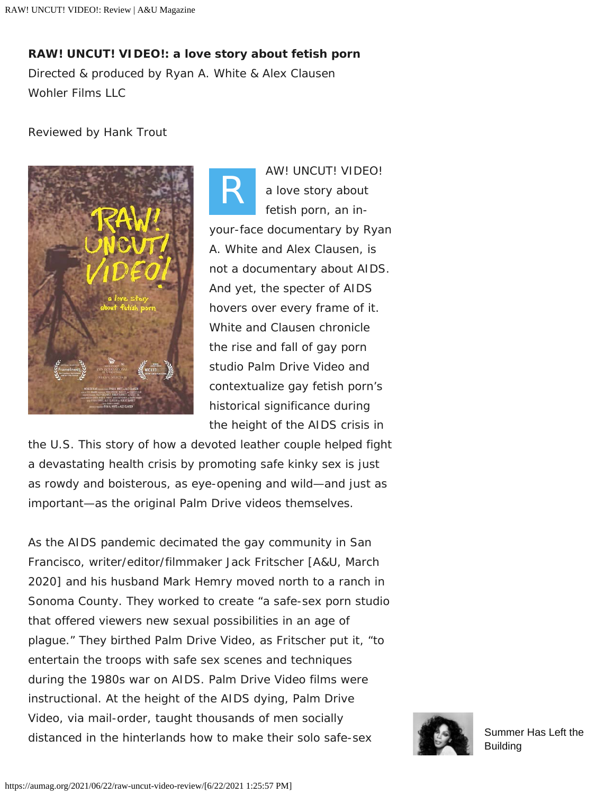**RAW! UNCUT! VIDEO!: a love story about fetish porn**

*Directed & produced by Ryan A. White & Alex Clausen* Wohler Films LLC

## Reviewed by Hank Trout



*R AW! UNCUT! VIDEO! a love story about fetish porn*, an inyour-face documentary by Ryan A. White and Alex Clausen, is not a documentary about AIDS. And yet, the specter of AIDS hovers over every frame of it. White and Clausen chronicle the rise and fall of gay porn studio Palm Drive Video and contextualize gay fetish porn's historical significance during the height of the AIDS crisis in

the U.S. This story of how a devoted leather couple helped fight a devastating health crisis by promoting safe kinky sex is just as rowdy and boisterous, as eye-opening and wild—and just as important—as the original Palm Drive videos themselves.

As the AIDS pandemic decimated the gay community in San Francisco, writer/editor/filmmaker Jack Fritscher [A&U, March 2020] and his husband Mark Hemry moved north to a ranch in Sonoma County. They worked to create "a safe-sex porn studio that offered viewers new sexual possibilities in an age of plague." They birthed Palm Drive Video, as Fritscher put it, "to entertain the troops with safe sex scenes and techniques during the 1980s war on AIDS. Palm Drive Video films were instructional. At the height of the AIDS dying, Palm Drive Video, via mail-order, taught thousands of men socially distanced in the hinterlands how to make their solo safe-sex [Summer Has Left the](https://aumag.org/2021/06/17/1986-donna-summer-has-left-the-building/)

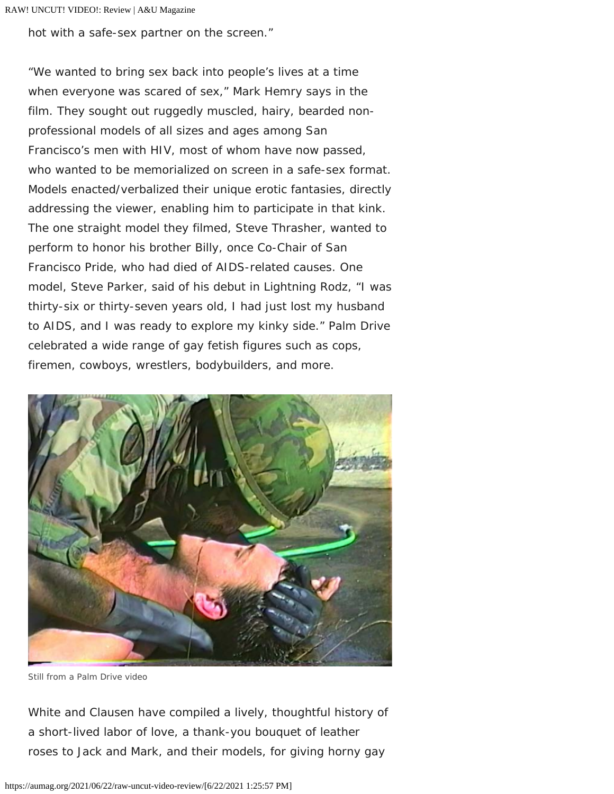hot with a safe-sex partner on the screen."

"We wanted to bring sex back into people's lives at a time when everyone was scared of sex," Mark Hemry says in the film. They sought out ruggedly muscled, hairy, bearded nonprofessional models of all sizes and ages among San Francisco's men with HIV, most of whom have now passed, who wanted to be memorialized on screen in a safe-sex format. Models enacted/verbalized their unique erotic fantasies, directly addressing the viewer, enabling him to participate in that kink. The one straight model they filmed, Steve Thrasher, wanted to perform to honor his brother Billy, once Co-Chair of San Francisco Pride, who had died of AIDS-related causes. One model, Steve Parker, said of his debut in Lightning Rodz, "I was thirty-six or thirty-seven years old, I had just lost my husband to AIDS, and I was ready to explore my kinky side." Palm Drive celebrated a wide range of gay fetish figures such as cops, firemen, cowboys, wrestlers, bodybuilders, and more.



*Still from a Palm Drive video*

White and Clausen have compiled a lively, thoughtful history of a short-lived labor of love, a thank-you bouquet of leather roses to Jack and Mark, and their models, for giving horny gay